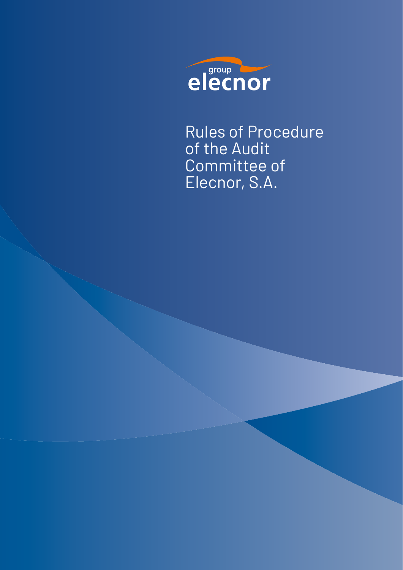

Rules of Procedure of the Audit Committee of Elecnor, S.A.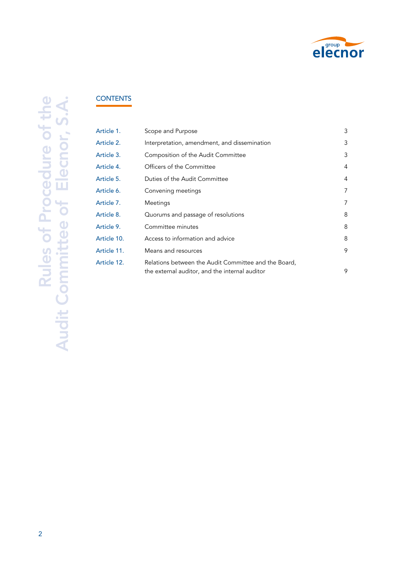

# **CONTENTS**

| Article 1.  | Scope and Purpose                                                                                      | 3 |
|-------------|--------------------------------------------------------------------------------------------------------|---|
| Article 2.  | Interpretation, amendment, and dissemination                                                           | 3 |
| Article 3.  | Composition of the Audit Committee                                                                     | 3 |
| Article 4.  | Officers of the Committee                                                                              | 4 |
| Article 5.  | Duties of the Audit Committee                                                                          | 4 |
| Article 6.  | Convening meetings                                                                                     | 7 |
| Article 7.  | Meetings                                                                                               | 7 |
| Article 8.  | Quorums and passage of resolutions                                                                     | 8 |
| Article 9.  | Committee minutes                                                                                      | 8 |
| Article 10. | Access to information and advice                                                                       | 8 |
| Article 11. | Means and resources                                                                                    | 9 |
| Article 12. | Relations between the Audit Committee and the Board,<br>the external auditor, and the internal auditor | 9 |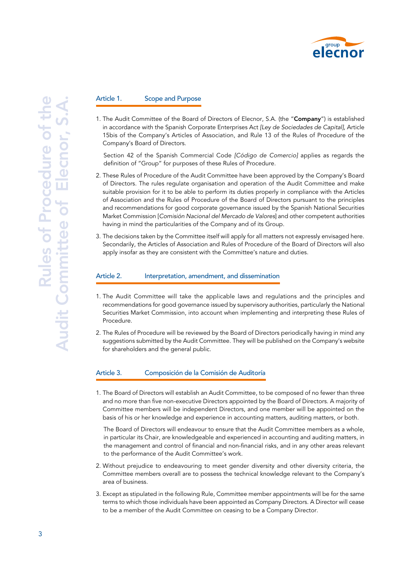

### Article 1. Scope and Purpose

1. The Audit Committee of the Board of Directors of Elecnor, S.A. (the "Company") is established in accordance with the Spanish Corporate Enterprises Act *[Ley de Sociedades de Capital]*, Article 15bis of the Company's Articles of Association, and Rule 13 of the Rules of Procedure of the Company's Board of Directors.

Section 42 of the Spanish Commercial Code *[Código de Comercio]* applies as regards the definition of "Group" for purposes of these Rules of Procedure.

- 2. These Rules of Procedure of the Audit Committee have been approved by the Company's Board of Directors. The rules regulate organisation and operation of the Audit Committee and make suitable provision for it to be able to perform its duties properly in compliance with the Articles of Association and the Rules of Procedure of the Board of Directors pursuant to the principles and recommendations for good corporate governance issued by the Spanish National Securities Market Commission [*Comisión Nacional del Mercado de Valores*] and other competent authorities having in mind the particularities of the Company and of its Group.
- 3. The decisions taken by the Committee itself will apply for all matters not expressly envisaged here. Secondarily, the Articles of Association and Rules of Procedure of the Board of Directors will also apply insofar as they are consistent with the Committee's nature and duties.

#### Article 2. Interpretation, amendment, and dissemination

- 1. The Audit Committee will take the applicable laws and regulations and the principles and recommendations for good governance issued by supervisory authorities, particularly the National Securities Market Commission, into account when implementing and interpreting these Rules of Procedure.
- 2. The Rules of Procedure will be reviewed by the Board of Directors periodically having in mind any suggestions submitted by the Audit Committee. They will be published on the Company's website for shareholders and the general public.

#### Article 3. Composición de la Comisión de Auditoría

1. The Board of Directors will establish an Audit Committee, to be composed of no fewer than three and no more than five non-executive Directors appointed by the Board of Directors. A majority of Committee members will be independent Directors, and one member will be appointed on the basis of his or her knowledge and experience in accounting matters, auditing matters, or both.

The Board of Directors will endeavour to ensure that the Audit Committee members as a whole, in particular its Chair, are knowledgeable and experienced in accounting and auditing matters, in the management and control of financial and non-financial risks, and in any other areas relevant to the performance of the Audit Committee's work.

- 2. Without prejudice to endeavouring to meet gender diversity and other diversity criteria, the Committee members overall are to possess the technical knowledge relevant to the Company's area of business.
- 3. Except as stipulated in the following Rule, Committee member appointments will be for the same terms to which those individuals have been appointed as Company Directors. A Director will cease to be a member of the Audit Committee on ceasing to be a Company Director.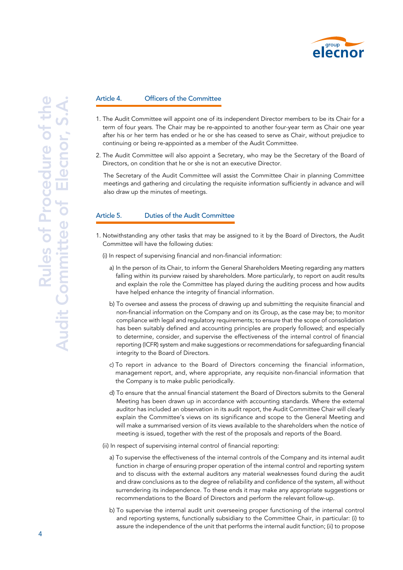

#### Article 4. Officers of the Committee

- 1. The Audit Committee will appoint one of its independent Director members to be its Chair for a term of four years. The Chair may be re-appointed to another four-year term as Chair one year after his or her term has ended or he or she has ceased to serve as Chair, without prejudice to continuing or being re-appointed as a member of the Audit Committee.
- 2. The Audit Committee will also appoint a Secretary, who may be the Secretary of the Board of Directors, on condition that he or she is not an executive Director.

The Secretary of the Audit Committee will assist the Committee Chair in planning Committee meetings and gathering and circulating the requisite information sufficiently in advance and will also draw up the minutes of meetings.

## Article 5. Duties of the Audit Committee

- 1. Notwithstanding any other tasks that may be assigned to it by the Board of Directors, the Audit Committee will have the following duties:
	- (i) In respect of supervising financial and non-financial information:
		- a) In the person of its Chair, to inform the General Shareholders Meeting regarding any matters falling within its purview raised by shareholders. More particularly, to report on audit results and explain the role the Committee has played during the auditing process and how audits have helped enhance the integrity of financial information.
		- b) To oversee and assess the process of drawing up and submitting the requisite financial and non-financial information on the Company and on its Group, as the case may be; to monitor compliance with legal and regulatory requirements; to ensure that the scope of consolidation has been suitably defined and accounting principles are properly followed; and especially to determine, consider, and supervise the effectiveness of the internal control of financial reporting (ICFR) system and make suggestions or recommendations for safeguarding financial integrity to the Board of Directors.
		- c) To report in advance to the Board of Directors concerning the financial information, management report, and, where appropriate, any requisite non-financial information that the Company is to make public periodically.
		- d) To ensure that the annual financial statement the Board of Directors submits to the General Meeting has been drawn up in accordance with accounting standards. Where the external auditor has included an observation in its audit report, the Audit Committee Chair will clearly explain the Committee's views on its significance and scope to the General Meeting and will make a summarised version of its views available to the shareholders when the notice of meeting is issued, together with the rest of the proposals and reports of the Board.
	- (ii) In respect of supervising internal control of financial reporting:
		- a) To supervise the effectiveness of the internal controls of the Company and its internal audit function in charge of ensuring proper operation of the internal control and reporting system and to discuss with the external auditors any material weaknesses found during the audit and draw conclusions as to the degree of reliability and confidence of the system, all without surrendering its independence. To these ends it may make any appropriate suggestions or recommendations to the Board of Directors and perform the relevant follow-up.
		- b) To supervise the internal audit unit overseeing proper functioning of the internal control and reporting systems, functionally subsidiary to the Committee Chair, in particular: (i) to assure the independence of the unit that performs the internal audit function; (ii) to propose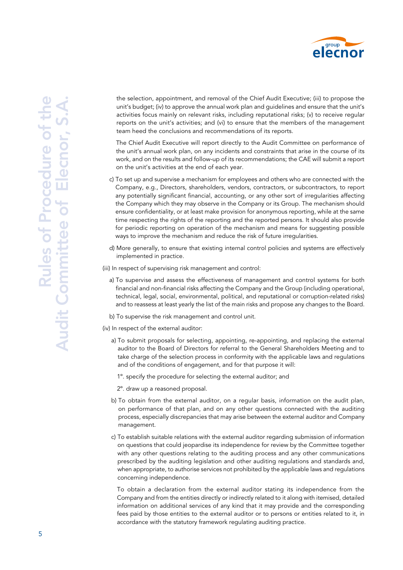

the selection, appointment, and removal of the Chief Audit Executive; (iii) to propose the unit's budget; (iv) to approve the annual work plan and guidelines and ensure that the unit's activities focus mainly on relevant risks, including reputational risks; (v) to receive regular reports on the unit's activities; and (vi) to ensure that the members of the management team heed the conclusions and recommendations of its reports.

The Chief Audit Executive will report directly to the Audit Committee on performance of the unit's annual work plan, on any incidents and constraints that arise in the course of its work, and on the results and follow-up of its recommendations; the CAE will submit a report on the unit's activities at the end of each year.

- c) To set up and supervise a mechanism for employees and others who are connected with the Company, e.g., Directors, shareholders, vendors, contractors, or subcontractors, to report any potentially significant financial, accounting, or any other sort of irregularities affecting the Company which they may observe in the Company or its Group. The mechanism should ensure confidentiality, or at least make provision for anonymous reporting, while at the same time respecting the rights of the reporting and the reported persons. It should also provide for periodic reporting on operation of the mechanism and means for suggesting possible ways to improve the mechanism and reduce the risk of future irregularities.
- d) More generally, to ensure that existing internal control policies and systems are effectively implemented in practice.
- (iii) In respect of supervising risk management and control:
	- a) To supervise and assess the effectiveness of management and control systems for both financial and non-financial risks affecting the Company and the Group (including operational, technical, legal, social, environmental, political, and reputational or corruption-related risks) and to reassess at least yearly the list of the main risks and propose any changes to the Board.
	- b) To supervise the risk management and control unit.
- (iv) In respect of the external auditor:
	- a) To submit proposals for selecting, appointing, re-appointing, and replacing the external auditor to the Board of Directors for referral to the General Shareholders Meeting and to take charge of the selection process in conformity with the applicable laws and regulations and of the conditions of engagement, and for that purpose it will:
		- 1º. specify the procedure for selecting the external auditor; and
		- 2º. draw up a reasoned proposal.
	- b) To obtain from the external auditor, on a regular basis, information on the audit plan, on performance of that plan, and on any other questions connected with the auditing process, especially discrepancies that may arise between the external auditor and Company management.
	- c) To establish suitable relations with the external auditor regarding submission of information on questions that could jeopardise its independence for review by the Committee together with any other questions relating to the auditing process and any other communications prescribed by the auditing legislation and other auditing regulations and standards and, when appropriate, to authorise services not prohibited by the applicable laws and regulations concerning independence.

To obtain a declaration from the external auditor stating its independence from the Company and from the entities directly or indirectly related to it along with itemised, detailed information on additional services of any kind that it may provide and the corresponding fees paid by those entities to the external auditor or to persons or entities related to it, in accordance with the statutory framework regulating auditing practice.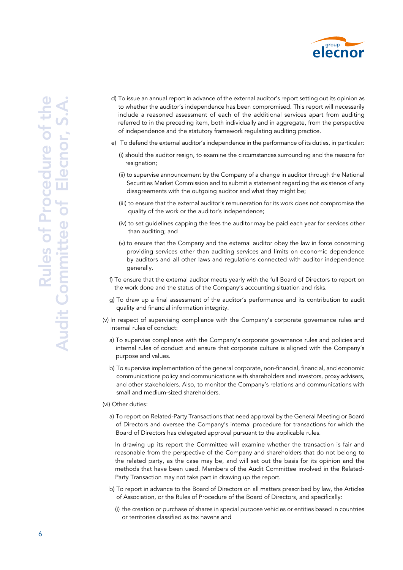

- d) To issue an annual report in advance of the external auditor's report setting out its opinion as to whether the auditor's independence has been compromised. This report will necessarily include a reasoned assessment of each of the additional services apart from auditing referred to in the preceding item, both individually and in aggregate, from the perspective of independence and the statutory framework regulating auditing practice.
- e) To defend the external auditor's independence in the performance of its duties, in particular:
	- (i) should the auditor resign, to examine the circumstances surrounding and the reasons for resignation;
	- (ii) to supervise announcement by the Company of a change in auditor through the National Securities Market Commission and to submit a statement regarding the existence of any disagreements with the outgoing auditor and what they might be;
	- (iii) to ensure that the external auditor's remuneration for its work does not compromise the quality of the work or the auditor's independence;
	- (iv) to set guidelines capping the fees the auditor may be paid each year for services other than auditing; and
	- (v) to ensure that the Company and the external auditor obey the law in force concerning providing services other than auditing services and limits on economic dependence by auditors and all other laws and regulations connected with auditor independence generally.
- f) To ensure that the external auditor meets yearly with the full Board of Directors to report on the work done and the status of the Company's accounting situation and risks.
- g) To draw up a final assessment of the auditor's performance and its contribution to audit quality and financial information integrity.
- (v) In respect of supervising compliance with the Company's corporate governance rules and internal rules of conduct:
	- a) To supervise compliance with the Company's corporate governance rules and policies and internal rules of conduct and ensure that corporate culture is aligned with the Company's purpose and values.
	- b) To supervise implementation of the general corporate, non-financial, financial, and economic communications policy and communications with shareholders and investors, proxy advisers, and other stakeholders. Also, to monitor the Company's relations and communications with small and medium-sized shareholders.

#### (vi) Other duties:

a) To report on Related-Party Transactions that need approval by the General Meeting or Board of Directors and oversee the Company's internal procedure for transactions for which the Board of Directors has delegated approval pursuant to the applicable rules.

In drawing up its report the Committee will examine whether the transaction is fair and reasonable from the perspective of the Company and shareholders that do not belong to the related party, as the case may be, and will set out the basis for its opinion and the methods that have been used. Members of the Audit Committee involved in the Related-Party Transaction may not take part in drawing up the report.

- b) To report in advance to the Board of Directors on all matters prescribed by law, the Articles of Association, or the Rules of Procedure of the Board of Directors, and specifically:
	- (i) the creation or purchase of shares in special purpose vehicles or entities based in countries or territories classified as tax havens and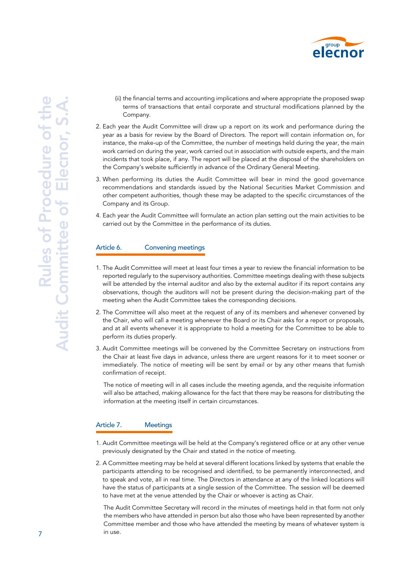

- (ii) the financial terms and accounting implications and where appropriate the proposed swap terms of transactions that entail corporate and structural modifications planned by the Company.
- 2. Each year the Audit Committee will draw up a report on its work and performance during the year as a basis for review by the Board of Directors. The report will contain information on, for instance, the make-up of the Committee, the number of meetings held during the year, the main work carried on during the year, work carried out in association with outside experts, and the main incidents that took place, if any. The report will be placed at the disposal of the shareholders on the Company's website sufficiently in advance of the Ordinary General Meeting.
- 3. When performing its duties the Audit Committee will bear in mind the good governance recommendations and standards issued by the National Securities Market Commission and other competent authorities, though these may be adapted to the specific circumstances of the Company and its Group.
- 4. Each year the Audit Committee will formulate an action plan setting out the main activities to be carried out by the Committee in the performance of its duties.

## Article 6. Convening meetings

- 1. The Audit Committee will meet at least four times a year to review the financial information to be reported regularly to the supervisory authorities. Committee meetings dealing with these subjects will be attended by the internal auditor and also by the external auditor if its report contains any observations, though the auditors will not be present during the decision-making part of the meeting when the Audit Committee takes the corresponding decisions.
- 2. The Committee will also meet at the request of any of its members and whenever convened by the Chair, who will call a meeting whenever the Board or its Chair asks for a report or proposals, and at all events whenever it is appropriate to hold a meeting for the Committee to be able to perform its duties properly.
- 3. Audit Committee meetings will be convened by the Committee Secretary on instructions from the Chair at least five days in advance, unless there are urgent reasons for it to meet sooner or immediately. The notice of meeting will be sent by email or by any other means that furnish confirmation of receipt.

The notice of meeting will in all cases include the meeting agenda, and the requisite information will also be attached, making allowance for the fact that there may be reasons for distributing the information at the meeting itself in certain circumstances.

## Article 7. Meetings

- 1. Audit Committee meetings will be held at the Company's registered office or at any other venue previously designated by the Chair and stated in the notice of meeting.
- 2. A Committee meeting may be held at several different locations linked by systems that enable the participants attending to be recognised and identified, to be permanently interconnected, and to speak and vote, all in real time. The Directors in attendance at any of the linked locations will have the status of participants at a single session of the Committee. The session will be deemed to have met at the venue attended by the Chair or whoever is acting as Chair.

The Audit Committee Secretary will record in the minutes of meetings held in that form not only the members who have attended in person but also those who have been represented by another Committee member and those who have attended the meeting by means of whatever system is in use.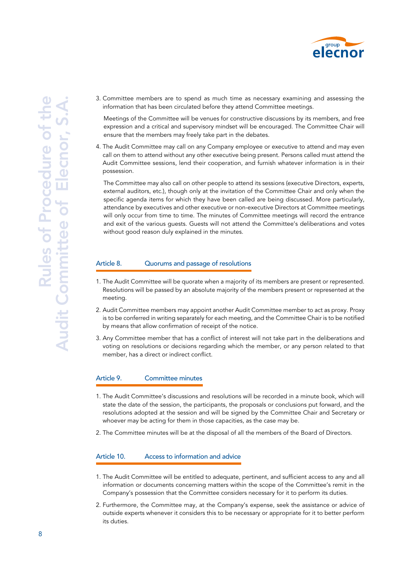

3. Committee members are to spend as much time as necessary examining and assessing the information that has been circulated before they attend Committee meetings.

Meetings of the Committee will be venues for constructive discussions by its members, and free expression and a critical and supervisory mindset will be encouraged. The Committee Chair will ensure that the members may freely take part in the debates.

4. The Audit Committee may call on any Company employee or executive to attend and may even call on them to attend without any other executive being present. Persons called must attend the Audit Committee sessions, lend their cooperation, and furnish whatever information is in their possession.

The Committee may also call on other people to attend its sessions (executive Directors, experts, external auditors, etc.), though only at the invitation of the Committee Chair and only when the specific agenda items for which they have been called are being discussed. More particularly, attendance by executives and other executive or non-executive Directors at Committee meetings will only occur from time to time. The minutes of Committee meetings will record the entrance and exit of the various guests. Guests will not attend the Committee's deliberations and votes without good reason duly explained in the minutes.

## Article 8. Cuorums and passage of resolutions

- 1. The Audit Committee will be quorate when a majority of its members are present or represented. Resolutions will be passed by an absolute majority of the members present or represented at the meeting.
- 2. Audit Committee members may appoint another Audit Committee member to act as proxy. Proxy is to be conferred in writing separately for each meeting, and the Committee Chair is to be notified by means that allow confirmation of receipt of the notice.
- 3. Any Committee member that has a conflict of interest will not take part in the deliberations and voting on resolutions or decisions regarding which the member, or any person related to that member, has a direct or indirect conflict.

## Article 9. Committee minutes

- 1. The Audit Committee's discussions and resolutions will be recorded in a minute book, which will state the date of the session, the participants, the proposals or conclusions put forward, and the resolutions adopted at the session and will be signed by the Committee Chair and Secretary or whoever may be acting for them in those capacities, as the case may be.
- 2. The Committee minutes will be at the disposal of all the members of the Board of Directors.

## Article 10. Access to information and advice

- 1. The Audit Committee will be entitled to adequate, pertinent, and sufficient access to any and all information or documents concerning matters within the scope of the Committee's remit in the Company's possession that the Committee considers necessary for it to perform its duties.
- 2. Furthermore, the Committee may, at the Company's expense, seek the assistance or advice of outside experts whenever it considers this to be necessary or appropriate for it to better perform its duties.